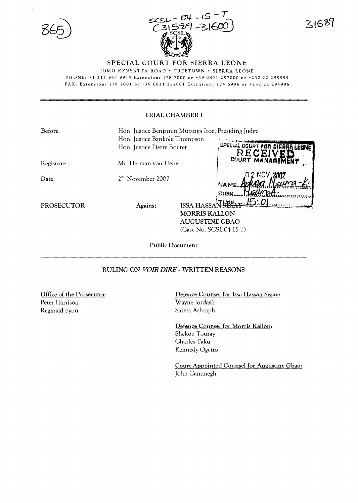

31589

# SPECIAL COURT FOR SIERRA LEONE

*lOMO* KENYATTA ROAD' FREETOWN· SIERRA LEONE PHONE, +1 212963 9915 Extension, 178 7000 or +39 0831257000 or +232 22 295995

FAX, Extension: 178 7001 or +39 0831257001 Extension: 174 6996 or +232 22 295996

# TRIAL CHAMBER I

| Before:           | Hon. Justice Benjamin Mutanga Itoe, Presiding Judge |                           |                                  |
|-------------------|-----------------------------------------------------|---------------------------|----------------------------------|
|                   | Hon. Justice Bankole Thompson                       |                           |                                  |
|                   | Hon. Justice Pierre Boutet                          |                           | SPECIAL COURT FOR BIE            |
| Registrar:        | Mr. Herman von Hebel                                |                           | <b>RECEI</b><br>COURT MANAGEMENT |
| Date:             | 2 <sup>nd</sup> November 2007                       |                           | NAME.                            |
| <b>PROSECUTOR</b> | Against                                             | <b>ISSA HASS</b>          | SIGN.<br>тіме                    |
|                   |                                                     | <b>MORRIS KALLON</b>      |                                  |
|                   |                                                     | <b>AUGUSTINE GBAO</b>     |                                  |
|                   |                                                     | $(Case No. SCSL-04-15-T)$ |                                  |
|                   |                                                     |                           |                                  |

Public Document

# RULING ON *VOIR DIRE*- WRITTEN REASONS

Office of the Prosecutor: Peter Harrison Reginald Fynn

Defence Counsel for Issa Hassan Sesay: Wayne Jordash Sareta Ashraph

Defence Counsel for Morris Kallon: Shekou Touray Charles Taku Kennedy Ogetto

Court Appointed Counsel for Augustine Gbao: John Cammegh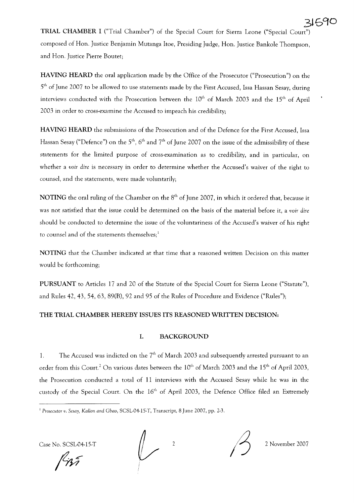**3lS90 TRIAL CHAMBER I** ("Trial Chamber") of the Special Court for Sierra Leone ("Special Court") composed of Hon. Justice Benjamin Mutanga ltoe, Presiding Judge, Hon. Justice Bankole Thompson, and Hon. Justice Pierre Boutet;

**HAVING HEARD** the oral application made by the Office of the Prosecutor ("Prosecution") on the 5<sup>th</sup> of June 2007 to be allowed to use statements made by the First Accused, Issa Hassan Sesay, during interviews conducted with the Prosecution between the 10<sup>th</sup> of March 2003 and the 15<sup>th</sup> of April 2003 in order to cross-examine the Accused to impeach his credibility;

**HAVING HEARD** the submissions of the Prosecution and of the Defence for the First Accused, Issa Hassan Sesay ("Defence") on the 5<sup>th</sup>, 6<sup>th</sup> and 7<sup>th</sup> of June 2007 on the issue of the admissibility of these statements for the limited purpose of cross-examination as to credibility, and in particular, on whether a *voir dire* is necessary in order to determine whether the Accused's waiver of the right to counsel, and the statements, were made voluntarily;

**NOTING** the oral ruling of the Chamber on the 8<sup>th</sup> of June 2007, in which it ordered that, because it was not satisfied that the issue could be determined on the basis of the material before it, a *voir dire* should be conducted to determine the issue of the voluntariness of the Accused's waiver of his right to counsel and of the statements themselves;<sup>1</sup>

**NOTING** that the Chamber indicated at that time that a reasoned written Decision on this matter would be forthcoming;

**PURSUANT** to Articles 17 and 20 of the Statute of the Special Court for Sierra Leone ("Statute"), and Rules 42,43,54,63, 89(B), 92 and 95 of the Rules of Procedure and Evidence ("Rules");

# **THE TRIAL CHAMBER HEREBY ISSUES ITS REASONED WRITTEN DECISION:**

## **1. BACKGROUND**

1. The Accused was indicted on the  $7<sup>th</sup>$  of March 2003 and subsequently arrested pursuant to an order from this Court.<sup>2</sup> On various dates between the 10<sup>th</sup> of March 2003 and the 15<sup>th</sup> of April 2003, the Prosecution conducted a total of **11** interviews with the Accused Sesay while he was in the custody of the Special Court. On the 16<sup>th</sup> of April 2003, the Defence Office filed an Extremely

Case No. SCSL-04-15-T  $\sqrt{2}$  2 November 2007



<sup>I</sup> *Prosecutor v. Sesay, KalLon and Gbao,* SCSL-04-15-T, Transcript, 8 June 2007, pp. 2-3.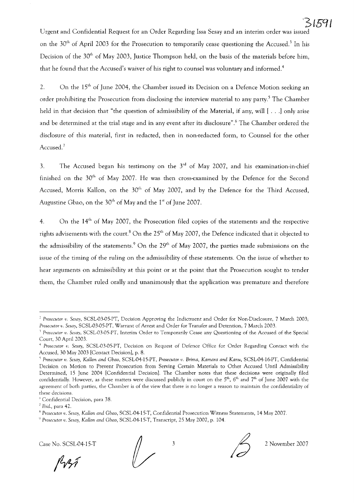Urgent and Confidential Request for an Order Regarding Issa Sesay and an interim order was issued on the 30<sup>th</sup> of April 2003 for the Prosecution to temporarily cease questioning the Accused.<sup>3</sup> In his Decision of the  $30<sup>th</sup>$  of May 2003, Justice Thompson held, on the basis of the materials before him, that he found that the Accused's waiver of his right to counsel was voluntary and informed. $^{\rm 4}$ 

2.  $\quad$  On the  $15^{\text{th}}$  of June 2004, the Chamber issued its Decision on a Defence Motion seeking an order prohibiting the Prosecution from disclosing the interview material to any party.<sup>5</sup> The Chamber held in that decision that "the question of admissibility of the Material, if any, will  $[\cdot, \cdot]$  only arise and be determined at the trial stage and in any event after its disclosure".<sup>6</sup> The Chamber ordered the disclosure of this material, first in redacted, then in non-redacted form, to Counsel for the other Accused.<sup>7</sup>

3. The Accused began his testimony on the  $3<sup>rd</sup>$  of May 2007, and his examination-in-chief finished on the  $30<sup>th</sup>$  of May 2007. He was then cross-examined by the Defence for the Second Accused, Morris Kallon, on the  $30<sup>th</sup>$  of May 2007, and by the Defence for the Third Accused, Augustine Gbao, on the  $30<sup>th</sup>$  of May and the  $1<sup>st</sup>$  of June 2007.

4. On the  $14<sup>th</sup>$  of May 2007, the Prosecution filed copies of the statements and the respective rights advisements with the court.<sup>8</sup> On the  $25<sup>th</sup>$  of May 2007, the Defence indicated that it objected to the admissibility of the statements.<sup>9</sup> On the  $29<sup>th</sup>$  of May 2007, the parties made submissions on the issue of the timing of the ruling on the admissibility of these statements. On the issue of whether to hear arguments on admissibility at this point or at the point that the Prosecution sought to tender them, the Chamber ruled orally and unanimously that the application was premature and therefore

<sup>&</sup>lt;sup>9</sup> Prosecutor *v. Sesay, Kallon and Gbao, SCSL-04-15-T*, Transcript, 25 May 2007, p. 104.





*<sup>2</sup> Prosecutor v. Sesay,* SCSL·03·05·PT, Decision Approving the Indictment and Order for Non·Disclosure, 7 March 2003; *Prosecutor v. Sesay,* SCSL·03·05·PT, Warrant of Arrest and Order for Transfer and Detention, 7 March 2003.

<sup>1</sup> *Prosecutor v. Sesay,* SCSL.03.05.PT, Interim Order to Temporarily Cease any Questioning of the Accused of the Special Court, 30 April 2003.

<sup>4</sup> *Prosecutor v. Sesay,* SCSL-03·05·PT, Decision on Request of Defence Office for Order Regarding Contact with the Accused, 30 May 2003 [Contact Decision], p. 8.

*<sup>\</sup> Prosecutor v. Sesay, Kanon and Gbao,* SCSL·04·15·PT, *Prosecutor v. Brima, Kamara and Kanu,* SCSL-04·16·PT, Confidential Decision on Motion to Prevent Prosecution from Serving Certain Materials to Other Accused Until Admissibility Determined, 15 June 2004 [Confidential Decision]. The Chamber notes that these decisions were originally filed confidentially. However, as these matters were discussed publicly in court on the  $5<sup>th</sup>$ ,  $6<sup>th</sup>$  and  $7<sup>th</sup>$  of June 2007 with the agreement of both parties, the Chamber is of the view that there is no longer a reason to maintain the confidentiality of these decisions.

<sup>&</sup>quot;Confidential Decision, para 38.

 $<sup>7</sup>$  Ibid., para 42.</sup>

<sup>K</sup> *Prosecutor v. Sesay, Kanon and Gbao,* SCSL·04·15,T, Confidential Prosecution Witness Statements, 14 May 2007.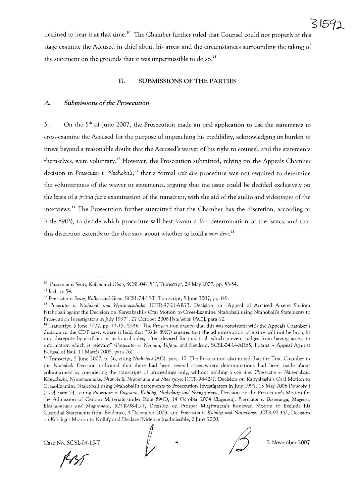

declined to hear it at that time.<sup>10</sup> The Chamber further ruled that Counsel could not properly at this stage examine the Accused in chief about his arrest and the circumstances surrounding the taking of the statement on the grounds that it was impermissible to do so.<sup>11</sup>

## **II. SUBMISSIONS OF THE PARTIES**

### $A.$  *Submissions of the Prosecution*

5. On the 5<sup>th</sup> of June 2007, the Prosecution made an oral application to use the statements to cross-examine the Accused for the purpose of impeaching his credibility, acknowledging its burden to prove beyond a reasonable doubt that the Accused's waiver of his right to counsel, and the statements themselves, were voluntary.12 However, the Prosecution submitted, relying on the Appeals Chamber decision in *Prosecutor v. Ntahobali,13* that a formal *voir dire* procedure was not required to determine the voluntariness of the waiver or statements, arguing that the issue could be decided exclusively on the basis of a *prima facie* examination of the transcript, with the aid of the audio and videotapes of the interviews. <sup>14</sup> The Prosecution further submitted that the Chamber has the discretion, according to Rule 89(B), to decide which procedure will best favour a fair determination of the issues, and that this discretion extends to the decision about whether to hold a *voir dire.*<sup>15</sup>

Case No. SCSL-04-15-T  $\parallel$  4  $\parallel$  2 November 2007

 $\sqrt{\frac{1}{2}}$ 



<sup>10</sup> *Prosecutor v. Sesay, KaHan and Gbao,* SCSL-04-15-T, Transcript, 29 May 2007, pp. 53-54.

II *Ibid.,* p. 54.

<sup>12</sup> *Prosecutor v. Sesay, KaHan and Gbao,* SCSL-04-15-T, Transcript, 5 June 2007, pp. 8-9.

IJ *Prosecutor v. Ntahobali and Nyiramasuhuko,* ICTR-97-21-AR73, Decision on "Appeal of Accused Arsene Shalom Ntahobali againt the Decision on Kanyabashi's Oral Motion to Cross-Examine Ntahobali using Ntahobali's Statements to Prosecution Investigators in July 1997", 27 October 2006 *[Ntahobali* (AC)], para 12.

<sup>&</sup>lt;sup>14</sup> Transcript, 5 June 2007, pp. 14-15, 45-46. The Prosecution argued that this was consistent with the Appeals Chamber's decision in the CDF case, where it held that "Rule 89(C) ensures that the administration of justice will not be brought into disrepute by artificial or technical rules, often devised for jury trial, which prevent judges from having access to information which is relevant" *(Prosecutor v. Norman, Fofana and Kondewa,* SCSL-04-14-AR65, Fofana - Appeal Against Refusal of Bail, 11 March 2005, para 26).

<sup>15</sup> Transcript, 5 June 2007, p. 26, citing *Ntahobali* (AC), para. 12. The Prosecution also noted that the Trial Chamber in the *Ntahobali* Decision indicated that there had been several cases where determinations had been made about voluntariness by considering the transcripts of proceedings only, without holding a *voir dire. (Prosecutor v. Ndayambaje, Kanyabashi, Nyiramasuhuko, Ntahobali, Nsabimana and Nteziryayo,* ICTR-98-42-T, Decision on Kanyabashi's Oral Motion to Cross-Examine Ntahobali using Ntahobali's Statements to Prosecution Investigators in July 1997, 15 May 2006 *[Ntahobali* (TC)], para 54, citing *Prosecutor v. Bagosora, Kabiligi, Ntabakuze and Nsengiyumva,* Decision on the Prosecutor's Motion for the Admission of Certain Materials under Rule 89(C), 14 October 2004 *[Bagosora], Prosecutor v. Bizimungu, Mugenzi, Bicamumpaka and Mugiraneza,* ICTR-98-41-T, Decision on Prosper Mugiraneza's Renewed Motion to Exclude his Custodial Statements from Evidence, 4 December 2003, and *Prosecutor v. Kabiligi and Ntabakuze,* ICTR-97-34-I, Decision on Kabiligi's Motion to Nullify and Declare Evidence Inadmissible, 2 June 2000.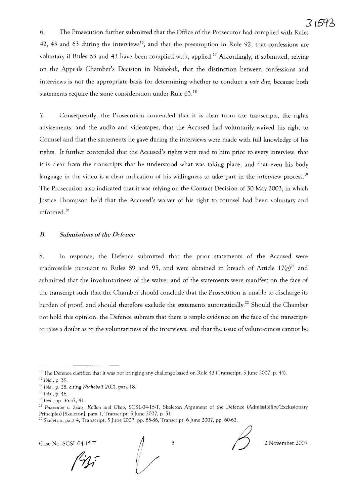6. The Prosecution further submitted that the Office of the Prosecutor had complied with Rules 42, 43 and 63 during the interviews<sup>16</sup>, and that the presumption in Rule 92, that confessions are voluntary if Rules 63 and 43 have been complied with, applied.<sup>17</sup> Accordingly, it submitted, relying on the Appeals Chamber's Decision in *Ntahobali,* that the distinction between confessions and interviews is not the appropriate basis for determining whether to conduct a *voir dire,* because both statements require the same consideration under Rule 63. <sup>18</sup>

7. Consequently, the Prosecution contended that it is clear from the transcripts, the rights advisements, and the audio and videotapes, that the Accused had voluntarily waived his right to Counsel and that the statements he gave during the interviews were made with full knowledge of his rights. It further contended that the Accused's rights were read to him prior to every interview, that it is clear from the transcripts that he understood what was taking place, and that even his body language in the video is a clear indication of his willingness to take part in the interview process.<sup>19</sup> The Prosecution also indicated that it was relying on the Contact Decision of 30 May 2003, in which Justice Thompson held that the Accused's waiver of his right to counsel had been voluntary and informed. <sup>20</sup>

### *B.* Submissions of the Defence

8. In response, the Defence submitted that the prior statements of the Accused were inadmissible pursuant to Rules 89 and 95, and were obtained in breach of Article 17 $(g)^{21}$  and submitted that the involuntariness of the waiver and of the statements were manifest on the face of the transcript such that the Chamber should conclude that the Prosecution is unable to discharge its burden of proof, and should therefore exclude the statements automatically.<sup>22</sup> Should the Chamber not hold this opinion, the Defence submits that there is ample evidence on the face of the transcripts to raise a doubt as to the voluntariness of the interviews, and that the issue of voluntariness cannot be

Case No. SCSL-04-15-T

 $\bigg\downarrow$ 



5 2 November 2007

 $^{16}$  The Defence clarified that it was not bringing any challenge based on Rule 43 (Transcript, 5 June 2007, p. 44).

<sup>17</sup> *Ibid.,* p. 39.

<sup>&</sup>lt;sup>18</sup> Ibid., p. 28, citing *Ntahobali* (AC), para 18.

I') *Ibid.,* p. 46.

<sup>&</sup>lt;sup>20</sup> *Ibid.*, pp. 36-37, 41.

<sup>21</sup> *Prosecutor v. Sesay, KaHon and Gbao,* SCSL·04·15·T, Skeleton Argument of the Defence (Admissibility/Exclusionary Principles) [Skeleton], para 1, Transcript, 5 June 2007, p. 51.

 $22$  Skeleton, para 4, Transcript, 5 June 2007, pp. 85-86, Transcript, 6 June 2007, pp. 60-62.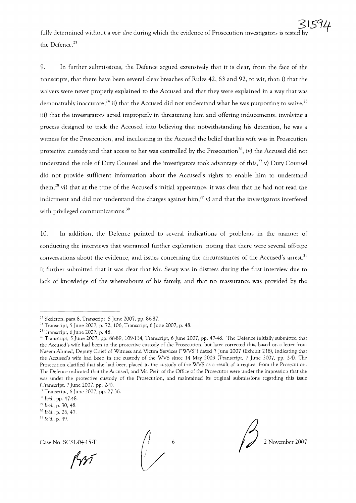9. In further submissions, the Defence argued extensively that it is clear, from the face of the transcripts, that there have been several clear breaches of Rules 42, 63 and 92, to wit, that: i) that the waivers were never properly explained to the Accused and that they were explained in a way that was demonstrably inaccurate,<sup>24</sup> ii) that the Accused did not understand what he was purporting to waive,<sup>25</sup> iii) that the investigators acted improperly in threatening him and offering inducements, involving a process designed to trick the Accused into believing that notwithstanding his detention, he was a witness for the Prosecution, and inculcating in the Accused the belief that his wife was in Prosecution protective custody and that access to her was controlled by the Prosecution<sup>26</sup>, iv) the Accused did not understand the role of Duty Counsel and the investigators took advantage of this,<sup>27</sup> v) Duty Counsel did not provide sufficient information about the Accused's rights to enable him to understand them,<sup>28</sup> vi) that at the time of the Accused's initial appearance, it was clear that he had not read the indictment and did not understand the charges against him,<sup>29</sup> v) and that the investigators interfered with privileged communications.<sup>30</sup>

10. In addition, the Defence pointed to several indications of problems in the manner of conducting the interviews that warranted further exploration, noting that there were several off-tape conversations about the evidence, and issues concerning the circumstances of the Accused's arrest.'l It further submitted that it was clear that Mr. Sesay was in distress during the first interview due to lack of knowledge of the whereabouts of his family, and that no reassurance was provided by the

Case No. SCSL-04-15-T

//

 $\bigotimes$  2 November 2007

<sup>&</sup>lt;sup>23</sup> Skeleton, para 8, Transcript, 5 June 2007, pp. 86-87.

<sup>24</sup> Transcript, 5 June 2007, p. 72, 106, Transcript, 6 June 2007, p. 48.

 $25$  Transcript, 6 June 2007, p. 48.

 $26$  Transcript, 5 June 2007, pp. 88-89, 109-114, Transcript, 6 June 2007, pp. 47-48. The Defence initially submitted that the Accused's wife had been in the protective custody of the Prosecution, but later corrected this, based on a letter from Naeem Ahmed, Deputy Chief of Witness and Victim Services ("WVS") dated 7 June 2007 (Exhibit 218), indicating that the Accused's wife had been in the custody of the WVS since 14 May 2003 (Transcript, 7 June 2007, pp. 2-4). The Prosecution clarified that she had been placed in the custody of the WVS as a result of a request from the Prosecution. The Defence indicated that the Accused, and Mr. Petit of the Office of the Prosecutor were under the impression that she was under the protective custody of the Prosecution, and maintained its original submissions regarding this issue (Transcript, 7 June 2007, pp. 2-4).

<sup>&</sup>lt;sup>27</sup> Transcript, 6 June 2007, pp. 27-36.

<sup>&</sup>lt;sup>28</sup> *Ibid.*, pp. 47-48.

*<sup>29</sup> Ibid.,* p. 30, 48.

JO *Ibid.,* p. 26, 47

<sup>11</sup> *Ibid.,* p. 49.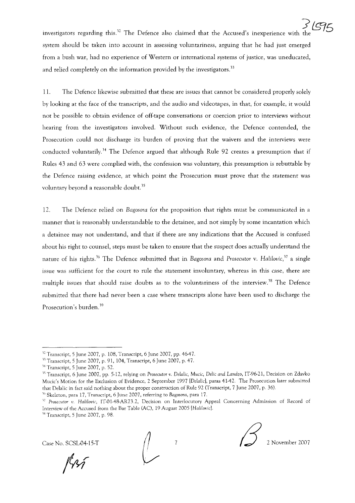.<br>أحرا investigators regarding this.<sup>32</sup> The Defence also claimed that the Accused's inexperience with system should be taken into account in assessing voluntariness, arguing that he had just emerged from a bush war, had no experience of Western or international systems of justice, was uneducated, and relied completely on the information provided by the investigators.<sup>33</sup>

11. The Defence likewise submitted that these are issues that cannot be considered properly solely by looking at the face of the transcripts, and the audio and videotapes, in that, for example, it would not be possible to obtain evidence of off-tape conversations or coercion prior to interviews without hearing from the investigators involved. Without such evidence, the Defence contended, the Prosecution could not discharge its burden of proving that the waivers and the interviews were conducted voluntarily.<sup>34</sup> The Defence argued that although Rule 92 creates a presumption that if Rules 43 and 63 were complied with, the confession was voluntary, this presumption is rebuttable by the Defence raising evidence, at which point the Prosecution must prove that the statement was voluntary beyond a reasonable doubt.<sup>35</sup>

12. The Defence relied on *Bagosora* for the proposition that rights must be communicated in a manner that is reasonably understandable to the detainee, and not simply by some incantation which a detainee may not understand, and that if there are any indications that the Accused is confused about his right to counsel, steps must be taken to ensure that the suspect does actually understand the nature of his rights. <sup>36</sup> The Defence submitted that in *Bagosora* and *Prosecutor* v. *Halilovic,37* a single issue was sufficient for the court to rule the statement involuntary, whereas in this case, there are multiple issues that should raise doubts as to the voluntariness of the interview.<sup>38</sup> The Defence submitted that there had never been a case where transcripts alone have been used to discharge the Prosecution's burden. <sup>39</sup>

RAT



 $12$  Transcript, 5 June 2007, p. 108, Transcript, 6 June 2007, pp. 46-47.

<sup>11</sup> Transcript, 5 June 2007, p. 91,104, Transcript, 6 June 2007, p. 47.

<sup>34</sup> Transcript, 5 June 2007, p. 52.

<sup>3\</sup> Transcript, 6 June 2007, pp. 5-12, relying on *Prosecutor v. Delalic, Mucic,* Delic *and Landzo,* 1T96-21, Decision on Zdavko Mucic's Motion for the Exclusion of Evidence, 2 September 1997 [Delalic], paras 41-42. The Prosecution later submitted that Delalic in fact said nothing about the proper construction of Rule 92 (Transcript, 7 June 2007, p. 36).

<sup>&</sup>lt;sup>36</sup> Skeleton, para 17, Transcript, 6 June 2007, referring to *Bagosora*, para 17.

<sup>&</sup>lt;sup>37</sup> Prosecutor v. Halilovic, IT-01-48-AR73.2, Decision on Interlocutory Appeal Concerning Admission of Record of Interview of the Accused from the Bar Table (AC), 19 August 2005 *[Hatilovic].*

 $38$  Transcript, 5 June 2007, p. 98.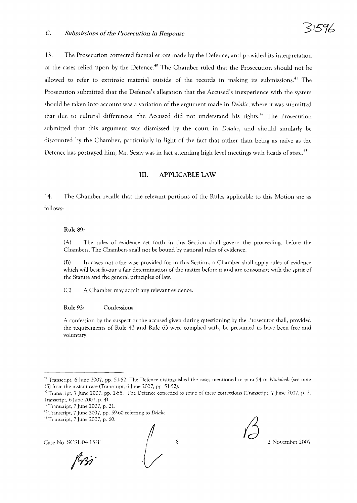13. The Prosecution corrected factual errors made by the Defence, and provided its interpretation of the cases relied upon by the Defence.<sup>40</sup> The Chamber ruled that the Prosecution should not be allowed to refer to extrinsic material outside of the records in making its submissions.<sup>41</sup> The Prosecution submitted that the Defence's allegation that the Accused's inexperience with the system should be taken into account was a variation of the argument made in *Delalic*, where it was submitted that due to cultural differences, the Accused did not understand his rights. <sup>42</sup> The Prosecution submitted that this argument was dismissed by the court in *Delalic,* and should similarly be discounted by the Chamber, particularly in light of the fact that rather than being as naive as the Defence has portrayed him, Mr. Sesay was in fact attending high level meetings with heads of state.<sup>43</sup>

## **III.** APPLICABLE LAW

14. The Chamber recalls that the relevant portions of the Rules applicable to this Motion are as follows:

#### Rule 89:

(A) The rules of evidence set forth in this Section shall govern the proceedings before the Chambers. The Chambers shall not be bound by national rules of evidence.

(B) In cases not otherwise provided for in this Section, a Chamber shall apply rules of evidence which will best favour a fair determination of the matter before it and are consonant with the spirit of the Statute and the general principles of law.

(C) A Chamber may admit any relevant evidence.

#### Rule 92: Confessions

A confession by the suspect or the accused given during questioning by the Prosecutor shall, provided the requirements of Rule 43 and Rule 63 were complied with, be presumed to have been free and voluntary.

Case No. SCSL-04-15-T 2 November 2007



w Transcript, 6 June 2007, pp. 51-52. The Defence distinguished the cases mentioned in para 54 of *Ntahobali* (see note 15) from the instant case (Transcript, 6 June 2007, pp. 51-52).

 $40$  Transcript, 7 June 2007, pp. 2-58. The Defence conceded to some of these corrections (Transcript, 7 June 2007, p. 2, Transcript, 6 June 2007, p. 4)

 $41$  Transcript, 7 June 2007, p. 21.

<sup>42</sup> Transcript, 7 June 2007, pp. 59-60 referring to *Delatie.*

<sup>41</sup> Transcript, 7 June 2007, p. 60.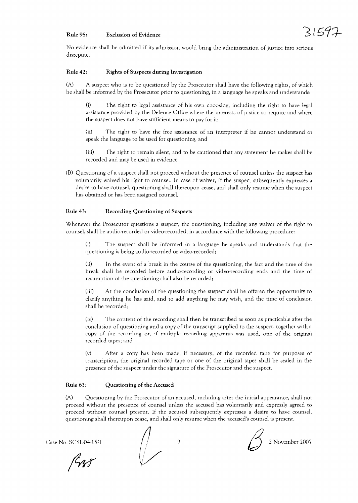### Rule 95: Exclusion of Evidence



No evidence shall be admitted if its admission would bring the administration of justice into serious disrepute.

#### Rule 42: Rights of Suspects during Investigation

(A) A suspect who is to be questioned by the Prosecutor shall have the following rights, of which he shall be informed by the Prosecutor prior to questioning, in a language he speaks and understands:

(i) The right to legal assistance of his own choosing, including the right to have legal assistance provided by the Defence Office where the interests of justice so require and where the suspect does not have sufficient means to pay for it;

(ii) The right to have the free assistance of an interpreter if he cannot understand or speak the language to be used for questioning; and

(iii) The right to remain silent, and to be cautioned that any statement he makes shall be recorded and may be used in evidence.

(B) Questioning of a suspect shall not proceed without the presence of counsel unless the suspect has voluntarily waived his right to counsel. In case of waiver, if the suspect subsequently expresses a desire to have counsel, questioning shall thereupon cease, and shall only resume when the suspect has obtained or has been assigned counsel.

#### Rule 43: Recording Questioning of Suspects

Whenever the Prosecutor questions a suspect, the questioning, including any waiver of the right to counsel, shall be audio-recorded or video-recorded, in accordance with the following procedure:

(i) The suspect shall be informed in a language he speaks and understands that the questioning is being audio-recorded or video-recorded;

(ii) In the event of a break in the course of the questioning, the fact and the time of the break shall be recorded before audio-recording or video-recording ends and the time of resumption of the questioning shall also be recorded;

(iii) At the conclusion of the questioning the suspect shall be offered the opportunity to clarify anything he has said, and to add anything he may wish, and the time of conclusion shall be recorded;

(iv) The content of the recording shall then be transcribed as soon as practicable after the conclusion of questioning and a copy of the transcript supplied to the suspect, together with a copy of the recording or, if multiple recording appararus was used, one of the original recorded tapes; and

(v) After a copy has been made, if necessary, of the recorded tape for purposes of transcription, the original recorded tape or one of the original tapes shall be sealed in the presence of the suspect under the signature of the Prosecutor and the suspect.

### Rule 63: Questioning of the Accused

(A) Questioning by the Prosecutor of an accused, including after the initial appearance, shall not proceed without the presence of counsel unless the accused has voluntarily and expressly agreed to proceed without counsel present. If the accused subsequently expresses a desire to have counsel, questioning shall thereupon cease, and shall only resume when the accused's counsel is present.

RAT

Case No. SCSL04-15-T  $\bigcap$  9  $\bigcap$  2 November 2007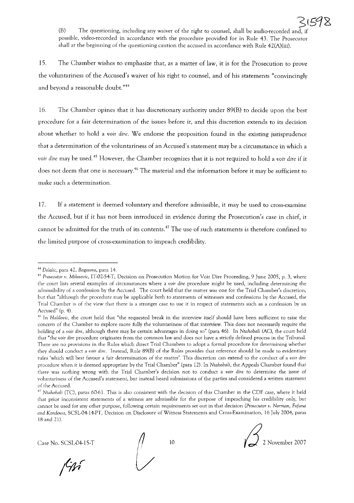(B) The questioning, including any waiver of the right to counsel, shall be audio-recorded and possible, video-tecorded in accordance with the procedure provided for in Rule 43. The Prosecutor shall at the beginning of the questioning caution the accused in accordance with Rule 42(A)(iii).

15. The Chamber wishes to emphasize that, as a matter of law, it is for the Prosecution to prove the voluntariness of the Accused's waiver of his right to counsel, and of his statements "convincingly and beyond a reasonable doubt."44

16. The Chamber opines that it has discretionary authority under 89(B) to decide upon the best procedure for a fair determination of the issues before it, and this discretion extends to its decision about whether to hold a *voir* dire. We endorse the proposition found in the existing jurisprudence that a determination of the voluntariness of an Accused's statement may be a circumstance in which a *voir* dire may be used. <sup>45</sup> However, the Chamber recognizes that it is not required to hold a *voir* dire if it does not deem that one is necessary.<sup>46</sup> The material and the information before it may be sufficient to make such a determination.

17. If a statement is deemed voluntary and therefore admissible, it may be used to cross-examine the Accused, but if it has not been introduced in evidence during the Prosecution's case in chief, it cannot be admitted for the truth of its contents.<sup>47</sup> The use of such statements is therefore confined to the limited purpose of cross-examination to impeach credibility.



<sup>44</sup> *DdaUc,* para 42, *Bagosora,* para 14.

<sup>&</sup>lt;sup>45</sup> Prosecutor v. Milosevic, IT-02-54-T, Decision on Prosecution Motion for Voir Dire Proceeding, 9 June 2005, p. 3, where the court lists several examples of circumstances where a *voir dire* procedure might be used, including determining the admissibility of a confession by the Accused. The court held that the matter was one for the Trial Chamber's discretion, but that "although the procedure may be applicable both to statements of witnesses and confessions by the Accused, the Trial Chamber is of the view that there is a stronger case to use it in respect of statements such as a confession by an Accused" (p. 4).

<sup>&</sup>lt;sup>46</sup> In *Halilovic*, the court held that "the requested break in the interview itself should have been sufficient to raise the concern of the Chamber to explore more fully the voluntariness of that interview. This does not necessarily require the holding of a voir *dire,* although there may be certain advantages in doing so" (para 46). In *Ntahobali* (AC), the court held that "the *voir dire* procedure originates from the common law and does not have a strictly defined process in the TribunaL There are no provisions in the Rules which direct Trial Chambers to adopt a formal procedure for determining whether they should conduct a voir *dire.* Instead, Rule 89(B) of the Rules provides that reference should be made to evidentiary rules 'which will best favour a fair determination of the matter'. This discretion can extend to the conduct of a voir *dire* procedure when it is deemed appropriate by the Trial Chamber" (para 12). In *Ntahobali*, the Appeals Chamber found that there was nothing wrong with the Trial Chamber's decision not to conduct a voir *dire* to determine the issue of voluntariness of the Accused's statement, but instead heard submissions of the parties and considered a written statement of the Accused.

<sup>&</sup>lt;sup>47</sup> Ntahobali (TC), paras 60-61. This is also consistent with the decision of this Chamber in the CDF case, where it held that prior inconsistent statements of a witness are admissible for the purpose of impeaching his credibility only, but cannot be used for any other purpose, following certain requirements set out in that decision *(Prosecutor v. Norman, Fofana and Kondewa,* SCSL-04-14-PT, Decision on Disclosure of Witness Statements and Cross-Examination, 16 July 2004, paras 18 and 21).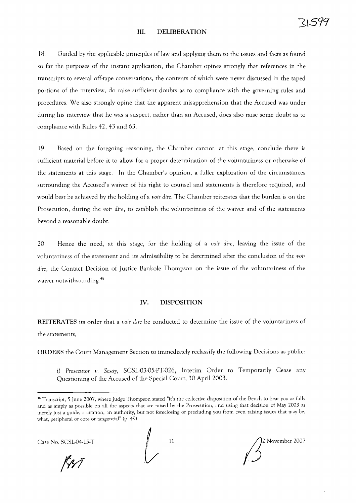#### **III. DELIBERATION**

18. Guided by the applicable principles of law and applying them to the issues and facts as found so far the purposes of the instant application, the Chamber opines strongly that references in the transcripts to several off-tape conversations, the contents of which were never discussed in the taped portions of the interview, do raise sufficient doubts as to compliance with the governing rules and procedures. We also strongly opine that the apparent misapprehension that the Accused was under during his interview that he was a suspect, rather than an Accused, does also raise some doubt as to compliance with Rules 42, 43 and 63.

19. Based on the foregoing reasoning, the Chamber cannot, at this stage, conclude there is sufficient material before it to allow for a proper determination of the voluntariness or otherwise of the statements at this stage. **In** the Chamber's opinion, a fuller exploration of the circumstances surrounding the Accused's waiver of his right to counsel and statements is therefore required, and would best be achieved by the holding of a *voir dire.* The Chamber reiterates that the burden is on the Prosecution, during the *voir dire,* to establish the voluntariness of the waiver and of the statements beyond a reasonable doubt.

20. Hence the need, at this stage, for the holding of a *voir dire,* leaving the issue of the voluntariness of the statement and its admissibility to be determined after the conclusion of the *voir dire,* the Contact Decision of Justice Bankole Thompson on the issue of the voluntariness of the waiver notwithstanding. <sup>48</sup>

## **IV. DISPOSITION**

**REITERATES** its order that a *voir dire* be conducted to determine the issue of the voluntariness of the statements;

**ORDERS** the Court Management Section to immediately reclassify the following Decisions as public:

i) *Prosecutor v. Sesay,* SCSL-03-05-PT-026, Interim Order to Temporarily Cease any Questioning of the Accused of the Special Court, 30 April 2003.

Case No. SCSL04-15-T  $\bigcup_{11}$  11  $\bigcup_{22}$  November 2007

<sup>&</sup>lt;sup>48</sup> Transcript, 5 June 2007, where Judge Thompson stated "it's the collective disposition of the Bench to hear you as fully and as amply as possible on all the aspects that are raised by the Prosecution, and using that decision of May 2003 as merely just a guide, a citation, an authority, but not foreclosing or precluding you from even raising issues that may be, what, peripheral or core or tangential" (p. 49).